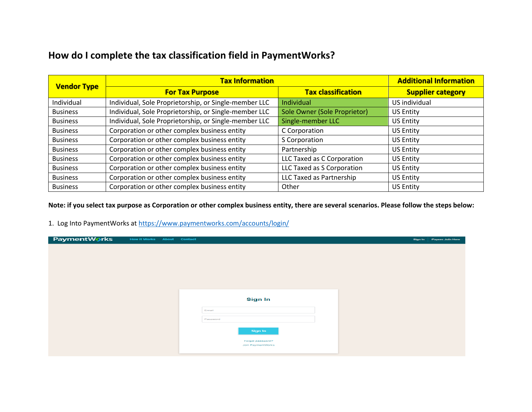## **How do I complete the tax classification field in PaymentWorks?**

| <b>Vendor Type</b> | <b>Tax Information</b>                                | <b>Additional Information</b> |                          |
|--------------------|-------------------------------------------------------|-------------------------------|--------------------------|
|                    | <b>For Tax Purpose</b>                                | <b>Tax classification</b>     | <b>Supplier category</b> |
| Individual         | Individual, Sole Proprietorship, or Single-member LLC | <b>Individual</b>             | US individual            |
| <b>Business</b>    | Individual, Sole Proprietorship, or Single-member LLC | Sole Owner (Sole Proprietor)  | <b>US Entity</b>         |
| <b>Business</b>    | Individual, Sole Proprietorship, or Single-member LLC | Single-member LLC             | <b>US Entity</b>         |
| <b>Business</b>    | Corporation or other complex business entity          | C Corporation                 | <b>US Entity</b>         |
| <b>Business</b>    | Corporation or other complex business entity          | S Corporation                 | <b>US Entity</b>         |
| <b>Business</b>    | Corporation or other complex business entity          | Partnership                   | <b>US Entity</b>         |
| <b>Business</b>    | Corporation or other complex business entity          | LLC Taxed as C Corporation    | <b>US Entity</b>         |
| <b>Business</b>    | Corporation or other complex business entity          | LLC Taxed as S Corporation    | <b>US Entity</b>         |
| <b>Business</b>    | Corporation or other complex business entity          | LLC Taxed as Partnership      | <b>US Entity</b>         |
| <b>Business</b>    | Corporation or other complex business entity          | Other                         | <b>US Entity</b>         |

**Note: if you select tax purpose as Corporation or other complex business entity, there are several scenarios. Please follow the steps below:**

1. Log Into PaymentWorks at<https://www.paymentworks.com/accounts/login/>

| PaymentWorks | <b>How it Works About Contact</b> |                   | Sign In | <b>Payees Join Here</b> |
|--------------|-----------------------------------|-------------------|---------|-------------------------|
|              |                                   |                   |         |                         |
|              |                                   |                   |         |                         |
|              |                                   |                   |         |                         |
|              |                                   |                   |         |                         |
|              |                                   |                   |         |                         |
|              |                                   |                   |         |                         |
|              |                                   |                   |         |                         |
|              |                                   | <b>Sign In</b>    |         |                         |
|              |                                   |                   |         |                         |
|              |                                   | Email             |         |                         |
|              |                                   | Password          |         |                         |
|              |                                   |                   |         |                         |
|              |                                   | Sign In           |         |                         |
|              |                                   | Forgot password?  |         |                         |
|              |                                   | Join PaymentWorks |         |                         |
|              |                                   |                   |         |                         |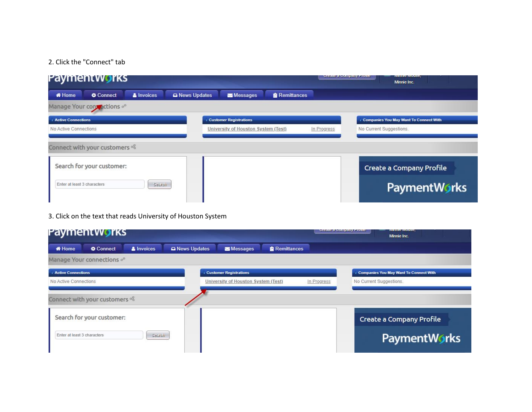## 2. Click the "Connect" tab

|                             | Payment works                                              |                   |              |                                                    |                    |  | <b>Create a Company Frome</b> | <b>IVISHING IVIOUSG,</b><br>Minnie Inc.       |  |
|-----------------------------|------------------------------------------------------------|-------------------|--------------|----------------------------------------------------|--------------------|--|-------------------------------|-----------------------------------------------|--|
| <b>M</b> Home               | Connect                                                    | <b>A</b> Invoices | News Updates | Messages                                           | <b>Remittances</b> |  |                               |                                               |  |
|                             | Manage Your contractions of                                |                   |              |                                                    |                    |  |                               |                                               |  |
| <b>Active Connections</b>   |                                                            |                   |              | <b>Customer Registrations</b>                      |                    |  |                               | <b>Companies You May Want To Connect With</b> |  |
| No Active Connections       |                                                            |                   |              | University of Houston System (Test)<br>In Progress |                    |  | No Current Suggestions.       |                                               |  |
|                             | Connect with your customers %<br>Search for your customer: |                   |              |                                                    |                    |  |                               |                                               |  |
|                             |                                                            |                   |              |                                                    |                    |  |                               | Create a Company Profile                      |  |
| Enter at least 3 characters |                                                            | Search            |              |                                                    |                    |  |                               | <b>PaymentWorks</b>                           |  |

## 3. Click on the text that reads University of Houston System

|                             | Payment works                 |                   |              |                                     |                    | Oregic a Company Frome |                         | <b><i>IVIRTING IVIOUSG,</i></b><br>Minnie Inc. |  |
|-----------------------------|-------------------------------|-------------------|--------------|-------------------------------------|--------------------|------------------------|-------------------------|------------------------------------------------|--|
| <b>#</b> Home               | <b>Connect</b>                | <b>A</b> Invoices | News Updates | Messages                            | <b>Remittances</b> |                        |                         |                                                |  |
|                             | Manage Your connections on    |                   |              |                                     |                    |                        |                         |                                                |  |
| <b>Active Connections</b>   |                               |                   |              | <b>Customer Registrations</b>       |                    |                        |                         | <b>Companies You May Want To Connect With</b>  |  |
| No Active Connections       |                               |                   |              | University of Houston System (Test) |                    | In Progress            | No Current Suggestions. |                                                |  |
|                             | Connect with your customers % |                   |              |                                     |                    |                        |                         |                                                |  |
|                             | Search for your customer:     |                   |              |                                     |                    |                        |                         | Create a Company Profile                       |  |
| Enter at least 3 characters |                               | Search            |              |                                     |                    |                        |                         | <b>PaymentWorks</b>                            |  |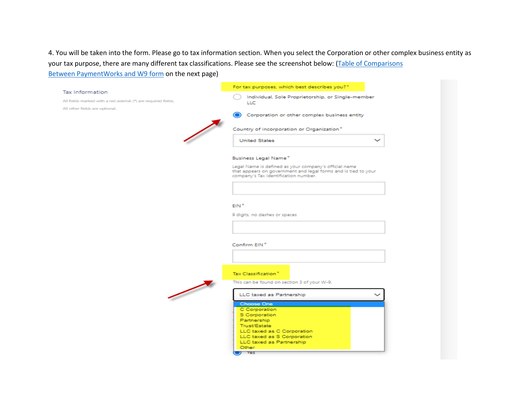4. You will be taken into the form. Please go to tax information section. When you select the Corporation or other complex business entity as your tax purpose, there are many different tax classifications. Please see the screenshot below: [\(Table of Comparisons](#page-3-0)

Between [PaymentWorks and W9 form](#page-3-0) on the next page)

|                                                                | For tax purposes, which best describes you?*                                                                            |
|----------------------------------------------------------------|-------------------------------------------------------------------------------------------------------------------------|
| Tax Information                                                | Individual, Sole Proprietorship, or Single-member                                                                       |
| All fields marked with a red asterisk (*) are required fields. | LLC                                                                                                                     |
| All other fields are optional.                                 |                                                                                                                         |
|                                                                | Corporation or other complex business entity                                                                            |
|                                                                |                                                                                                                         |
|                                                                | Country of Incorporation or Organization*                                                                               |
|                                                                | <b>United States</b><br>$\check{ }$                                                                                     |
|                                                                |                                                                                                                         |
|                                                                | <b>Business Legal Name*</b>                                                                                             |
|                                                                |                                                                                                                         |
|                                                                | Legal Name is defined as your company's official name<br>that appears on government and legal forms and is tied to your |
|                                                                | company's Tax Identification number.                                                                                    |
|                                                                |                                                                                                                         |
|                                                                |                                                                                                                         |
|                                                                |                                                                                                                         |
|                                                                | EIN <sup>*</sup>                                                                                                        |
|                                                                | 9 digits, no dashes or spaces                                                                                           |
|                                                                |                                                                                                                         |
|                                                                |                                                                                                                         |
|                                                                |                                                                                                                         |
|                                                                | Confirm EIN*                                                                                                            |
|                                                                |                                                                                                                         |
|                                                                |                                                                                                                         |
|                                                                |                                                                                                                         |
|                                                                | Tax Classification*                                                                                                     |
|                                                                | This can be found on section 3 of your W-9.                                                                             |
|                                                                |                                                                                                                         |
|                                                                | LLC taxed as Partnership                                                                                                |
|                                                                | <b>Choose One</b>                                                                                                       |
|                                                                | C Corporation                                                                                                           |
|                                                                | S Corporation                                                                                                           |
|                                                                | Partnership                                                                                                             |
|                                                                | Trust/Estate<br>LLC taxed as C Corporation                                                                              |
|                                                                | LLC taxed as S Corporation                                                                                              |
|                                                                | LLC taxed as Partnership                                                                                                |
|                                                                | Other                                                                                                                   |
|                                                                | $J = Yes$                                                                                                               |